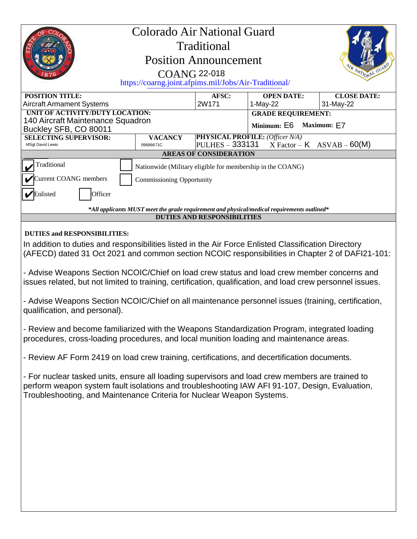| Colorado Air National Guard<br>Traditional<br><b>Position Announcement</b><br>R NATIONAL GU<br><b>COANG 22-018</b><br>https://coarng.joint.afpims.mil/Jobs/Air-Traditional/                                                                                                                                                                                                                                                                                                                                                                                                                                                                                                                                                                                                                                                                                                                                                                                                                                                                                                                                                                                                |           |                |                                                  |                                 |
|----------------------------------------------------------------------------------------------------------------------------------------------------------------------------------------------------------------------------------------------------------------------------------------------------------------------------------------------------------------------------------------------------------------------------------------------------------------------------------------------------------------------------------------------------------------------------------------------------------------------------------------------------------------------------------------------------------------------------------------------------------------------------------------------------------------------------------------------------------------------------------------------------------------------------------------------------------------------------------------------------------------------------------------------------------------------------------------------------------------------------------------------------------------------------|-----------|----------------|--------------------------------------------------|---------------------------------|
| <b>POSITION TITLE:</b>                                                                                                                                                                                                                                                                                                                                                                                                                                                                                                                                                                                                                                                                                                                                                                                                                                                                                                                                                                                                                                                                                                                                                     |           | AFSC:<br>2W171 | <b>OPEN DATE:</b>                                | <b>CLOSE DATE:</b><br>31-May-22 |
| <b>Aircraft Armament Systems</b><br>UNIT OF ACTIVITY/DUTY LOCATION:                                                                                                                                                                                                                                                                                                                                                                                                                                                                                                                                                                                                                                                                                                                                                                                                                                                                                                                                                                                                                                                                                                        |           |                | 1-May-22<br><b>GRADE REQUIREMENT:</b>            |                                 |
| 140 Aircraft Maintenance Squadron                                                                                                                                                                                                                                                                                                                                                                                                                                                                                                                                                                                                                                                                                                                                                                                                                                                                                                                                                                                                                                                                                                                                          |           |                | Minimum: E6<br>Maximum: E7                       |                                 |
| Buckley SFB, CO 80011<br><b>SELECTING SUPERVISOR:</b><br><b>VACANCY</b>                                                                                                                                                                                                                                                                                                                                                                                                                                                                                                                                                                                                                                                                                                                                                                                                                                                                                                                                                                                                                                                                                                    |           |                | <b>PHYSICAL PROFILE: (Officer N/A)</b>           |                                 |
| <b>MSgt David Lewis</b>                                                                                                                                                                                                                                                                                                                                                                                                                                                                                                                                                                                                                                                                                                                                                                                                                                                                                                                                                                                                                                                                                                                                                    | 09686671C |                | $ PULHES - 333131 \tX Factor - K ASVAB - 60(M) $ |                                 |
| <b>AREAS OF CONSIDERATION</b>                                                                                                                                                                                                                                                                                                                                                                                                                                                                                                                                                                                                                                                                                                                                                                                                                                                                                                                                                                                                                                                                                                                                              |           |                |                                                  |                                 |
| Traditional<br>Nationwide (Military eligible for membership in the COANG)                                                                                                                                                                                                                                                                                                                                                                                                                                                                                                                                                                                                                                                                                                                                                                                                                                                                                                                                                                                                                                                                                                  |           |                |                                                  |                                 |
| Current COANG members<br><b>Commissioning Opportunity</b>                                                                                                                                                                                                                                                                                                                                                                                                                                                                                                                                                                                                                                                                                                                                                                                                                                                                                                                                                                                                                                                                                                                  |           |                |                                                  |                                 |
| Enlisted<br>Officer                                                                                                                                                                                                                                                                                                                                                                                                                                                                                                                                                                                                                                                                                                                                                                                                                                                                                                                                                                                                                                                                                                                                                        |           |                |                                                  |                                 |
| *All applicants MUST meet the grade requirement and physical/medical requirements outlined*                                                                                                                                                                                                                                                                                                                                                                                                                                                                                                                                                                                                                                                                                                                                                                                                                                                                                                                                                                                                                                                                                |           |                |                                                  |                                 |
| <b>DUTIES AND RESPONSIBILITIES</b>                                                                                                                                                                                                                                                                                                                                                                                                                                                                                                                                                                                                                                                                                                                                                                                                                                                                                                                                                                                                                                                                                                                                         |           |                |                                                  |                                 |
| <b>DUTIES and RESPONSIBILITIES:</b><br>In addition to duties and responsibilities listed in the Air Force Enlisted Classification Directory<br>(AFECD) dated 31 Oct 2021 and common section NCOIC responsibilities in Chapter 2 of DAFI21-101:<br>- Advise Weapons Section NCOIC/Chief on load crew status and load crew member concerns and<br>issues related, but not limited to training, certification, qualification, and load crew personnel issues.<br>- Advise Weapons Section NCOIC/Chief on all maintenance personnel issues (training, certification,<br>qualification, and personal).<br>- Review and become familiarized with the Weapons Standardization Program, integrated loading<br>procedures, cross-loading procedures, and local munition loading and maintenance areas.<br>- Review AF Form 2419 on load crew training, certifications, and decertification documents.<br>- For nuclear tasked units, ensure all loading supervisors and load crew members are trained to<br>perform weapon system fault isolations and troubleshooting IAW AFI 91-107, Design, Evaluation,<br>Troubleshooting, and Maintenance Criteria for Nuclear Weapon Systems. |           |                |                                                  |                                 |